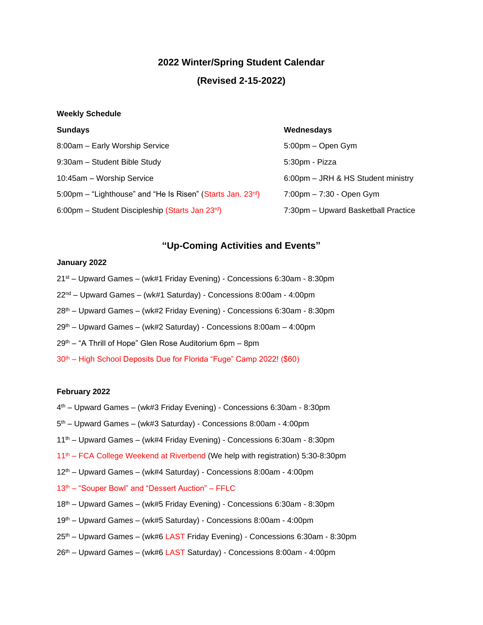## **2022 Winter/Spring Student Calendar**

# **(Revised 2-15-2022)**

#### **Weekly Schedule**

| <b>Sundays</b>                                                          | Wednesdays                                        |
|-------------------------------------------------------------------------|---------------------------------------------------|
| 8:00am - Early Worship Service                                          | 5:00pm – Open Gym                                 |
| 9:30am - Student Bible Study                                            | 5:30pm - Pizza                                    |
| 10:45am - Worship Service                                               | 6:00pm - JRH & HS Student ministry                |
| 5:00pm – "Lighthouse" and "He Is Risen" (Starts Jan. 23 <sup>rd</sup> ) | $7:00 \text{pm} - 7:30 - \text{Open } \text{Gym}$ |
| 6:00pm – Student Discipleship (Starts Jan 23 <sup>rd</sup> )            | 7:30pm - Upward Basketball Practice               |

## **"Up-Coming Activities and Events"**

### **January 2022**

- 21 st Upward Games (wk#1 Friday Evening) Concessions 6:30am 8:30pm
- 22nd Upward Games (wk#1 Saturday) Concessions 8:00am 4:00pm
- 28th Upward Games (wk#2 Friday Evening) Concessions 6:30am 8:30pm
- 29th Upward Games (wk#2 Saturday) Concessions 8:00am 4:00pm
- 29th "A Thrill of Hope" Glen Rose Auditorium 6pm 8pm
- 30<sup>th</sup> High School Deposits Due for Florida "Fuge" Camp 2022! (\$60)

#### **February 2022**

- 4 th Upward Games (wk#3 Friday Evening) Concessions 6:30am 8:30pm
- 5 th Upward Games (wk#3 Saturday) Concessions 8:00am 4:00pm
- 11th Upward Games (wk#4 Friday Evening) Concessions 6:30am 8:30pm
- 11th FCA College Weekend at Riverbend (We help with registration) 5:30-8:30pm
- 12th Upward Games (wk#4 Saturday) Concessions 8:00am 4:00pm
- 13<sup>th</sup> "Souper Bowl" and "Dessert Auction" FFLC
- 18th Upward Games (wk#5 Friday Evening) Concessions 6:30am 8:30pm
- 19th Upward Games (wk#5 Saturday) Concessions 8:00am 4:00pm
- 25th Upward Games (wk#6 LAST Friday Evening) Concessions 6:30am 8:30pm
- $26<sup>th</sup>$  Upward Games (wk#6 LAST Saturday) Concessions 8:00am 4:00pm